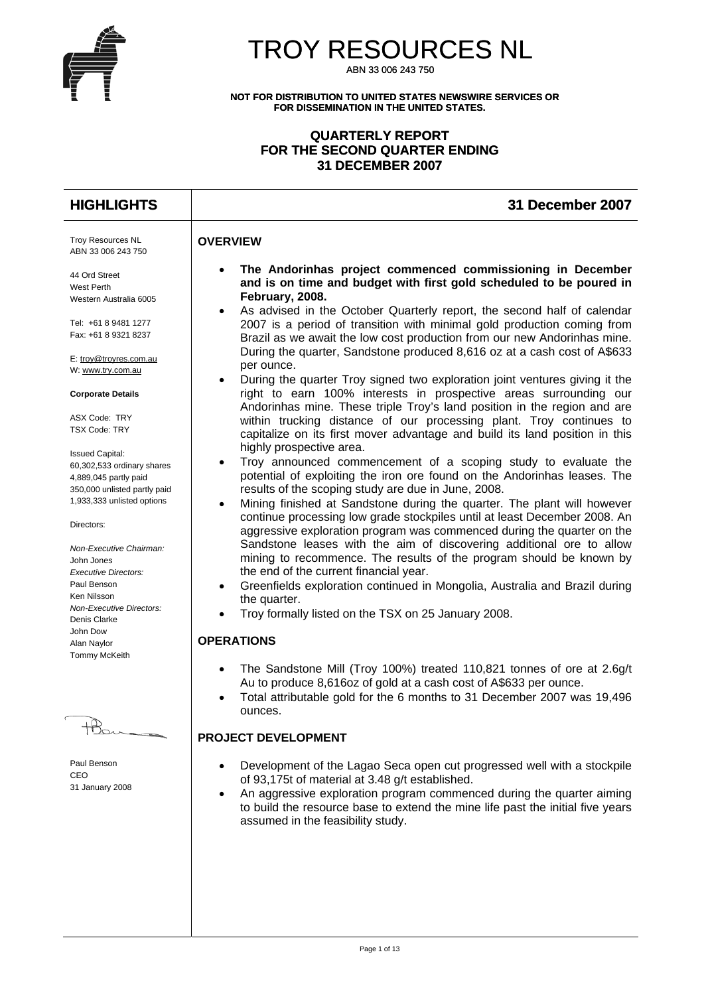

# TROY RESOURCES NL

ABN 33 006 243 750

**NOT FOR DISTRIBUTION TO UNITED STATES NEWSWIRE SERVICES OR FOR DISSEMINATION IN THE UNITED STATES.** 

## **QUARTERLY REPORT FOR THE SECOND QUARTER ENDING 31 DECEMBER 2007**

## **HIGHLIGHTS 31 December 2007**

## **OVERVIEW**

Troy Resources NL ABN 33 006 243 750

44 Ord Street West Perth Western Australia 6005

Tel: +61 8 9481 1277 Fax: +61 8 9321 8237

E: [troy@troyres.com.au](mailto:troy@troyres.com.au) W: [www.try.com.au](http://www.try.com.au/)

#### **Corporate Details**

ASX Code: TRY TSX Code: TRY

Issued Capital: 60,302,533 ordinary shares 4,889,045 partly paid 350,000 unlisted partly paid 1,933,333 unlisted options

#### Directors:

*Non-Executive Chairman:*  John Jones *Executive Directors:*  Paul Benson Ken Nilsson *Non-Executive Directors:*  Denis Clarke John Dow Alan Naylor Tommy McKeith

Paul Benson CEO 31 January 2008

- **The Andorinhas project commenced commissioning in December and is on time and budget with first gold scheduled to be poured in February, 2008.**
- As advised in the October Quarterly report, the second half of calendar 2007 is a period of transition with minimal gold production coming from Brazil as we await the low cost production from our new Andorinhas mine. During the quarter, Sandstone produced 8,616 oz at a cash cost of A\$633 per ounce.
- During the quarter Troy signed two exploration joint ventures giving it the right to earn 100% interests in prospective areas surrounding our Andorinhas mine. These triple Troy's land position in the region and are within trucking distance of our processing plant. Troy continues to capitalize on its first mover advantage and build its land position in this highly prospective area.
- Troy announced commencement of a scoping study to evaluate the potential of exploiting the iron ore found on the Andorinhas leases. The results of the scoping study are due in June, 2008.
- Mining finished at Sandstone during the quarter. The plant will however continue processing low grade stockpiles until at least December 2008. An aggressive exploration program was commenced during the quarter on the Sandstone leases with the aim of discovering additional ore to allow mining to recommence. The results of the program should be known by the end of the current financial year.
- Greenfields exploration continued in Mongolia, Australia and Brazil during the quarter.
- Troy formally listed on the TSX on 25 January 2008.

## **OPERATIONS**

- The Sandstone Mill (Troy 100%) treated 110,821 tonnes of ore at 2.6g/t Au to produce 8,616oz of gold at a cash cost of A\$633 per ounce.
- Total attributable gold for the 6 months to 31 December 2007 was 19,496 ounces.

## **PROJECT DEVELOPMENT**

- Development of the Lagao Seca open cut progressed well with a stockpile of 93,175t of material at 3.48 g/t established.
- An aggressive exploration program commenced during the quarter aiming to build the resource base to extend the mine life past the initial five years assumed in the feasibility study.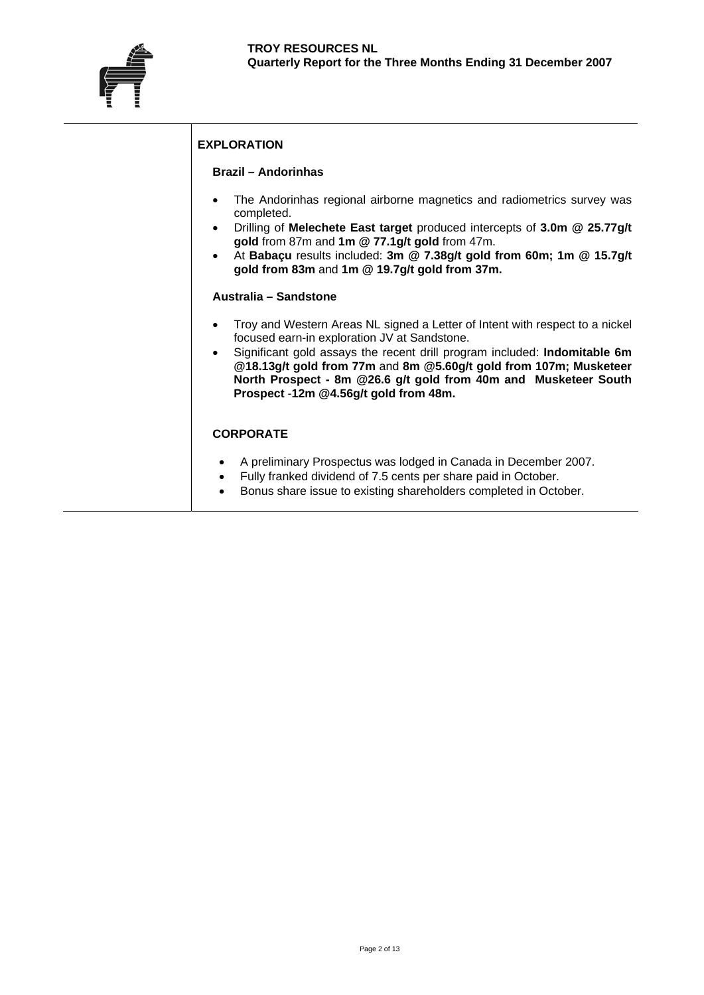

## **EXPLORATION**

#### **Brazil – Andorinhas**

- The Andorinhas regional airborne magnetics and radiometrics survey was completed.
- Drilling of **Melechete East target** produced intercepts of **3.0m @ 25.77g/t gold** from 87m and **1m @ 77.1g/t gold** from 47m.
- At **Babaçu** results included: **3m @ 7.38g/t gold from 60m; 1m @ 15.7g/t gold from 83m** and **1m @ 19.7g/t gold from 37m.**

#### **Australia – Sandstone**

- Troy and Western Areas NL signed a Letter of Intent with respect to a nickel focused earn-in exploration JV at Sandstone.
- Significant gold assays the recent drill program included: **Indomitable 6m @18.13g/t gold from 77m** and **8m @5.60g/t gold from 107m; Musketeer North Prospect - 8m @26.6 g/t gold from 40m and Musketeer South Prospect** -**12m @4.56g/t gold from 48m.**

#### **CORPORATE**

- A preliminary Prospectus was lodged in Canada in December 2007.
- Fully franked dividend of 7.5 cents per share paid in October.
- Bonus share issue to existing shareholders completed in October.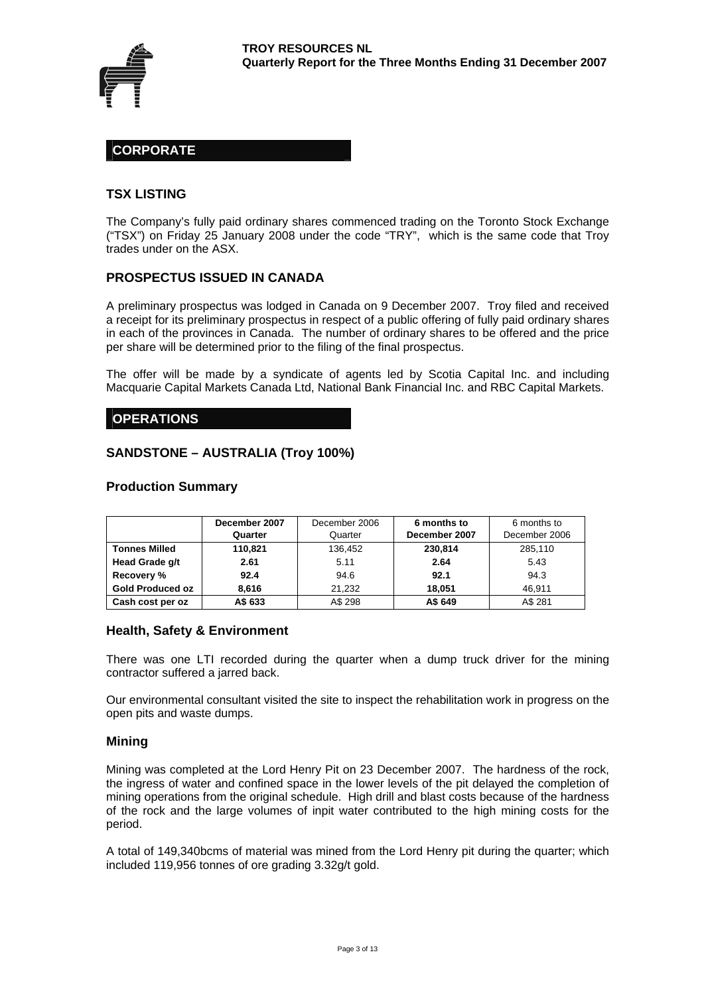

## **CORPORATE**

#### **TSX LISTING**

The Company's fully paid ordinary shares commenced trading on the Toronto Stock Exchange ("TSX") on Friday 25 January 2008 under the code "TRY", which is the same code that Troy trades under on the ASX.

#### **PROSPECTUS ISSUED IN CANADA**

A preliminary prospectus was lodged in Canada on 9 December 2007. Troy filed and received a receipt for its preliminary prospectus in respect of a public offering of fully paid ordinary shares in each of the provinces in Canada. The number of ordinary shares to be offered and the price per share will be determined prior to the filing of the final prospectus.

The offer will be made by a syndicate of agents led by Scotia Capital Inc. and including Macquarie Capital Markets Canada Ltd, National Bank Financial Inc. and RBC Capital Markets.

#### **OPERATIONS**

#### **SANDSTONE – AUSTRALIA (Troy 100%)**

#### **Production Summary**

|                         | December 2007 | December 2006 | 6 months to   | 6 months to   |
|-------------------------|---------------|---------------|---------------|---------------|
|                         | Quarter       | Quarter       | December 2007 | December 2006 |
| <b>Tonnes Milled</b>    | 110,821       | 136,452       | 230.814       | 285,110       |
| Head Grade g/t          | 2.61          | 5.11          | 2.64          | 5.43          |
| Recovery %              | 92.4          | 94.6          | 92.1          | 94.3          |
| <b>Gold Produced oz</b> | 8.616         | 21.232        | 18.051        | 46.911        |
| Cash cost per oz        | A\$ 633       | A\$ 298       | A\$ 649       | A\$ 281       |

#### **Health, Safety & Environment**

There was one LTI recorded during the quarter when a dump truck driver for the mining contractor suffered a jarred back.

Our environmental consultant visited the site to inspect the rehabilitation work in progress on the open pits and waste dumps.

#### **Mining**

Mining was completed at the Lord Henry Pit on 23 December 2007. The hardness of the rock, the ingress of water and confined space in the lower levels of the pit delayed the completion of mining operations from the original schedule. High drill and blast costs because of the hardness of the rock and the large volumes of inpit water contributed to the high mining costs for the period.

A total of 149,340bcms of material was mined from the Lord Henry pit during the quarter; which included 119,956 tonnes of ore grading 3.32g/t gold.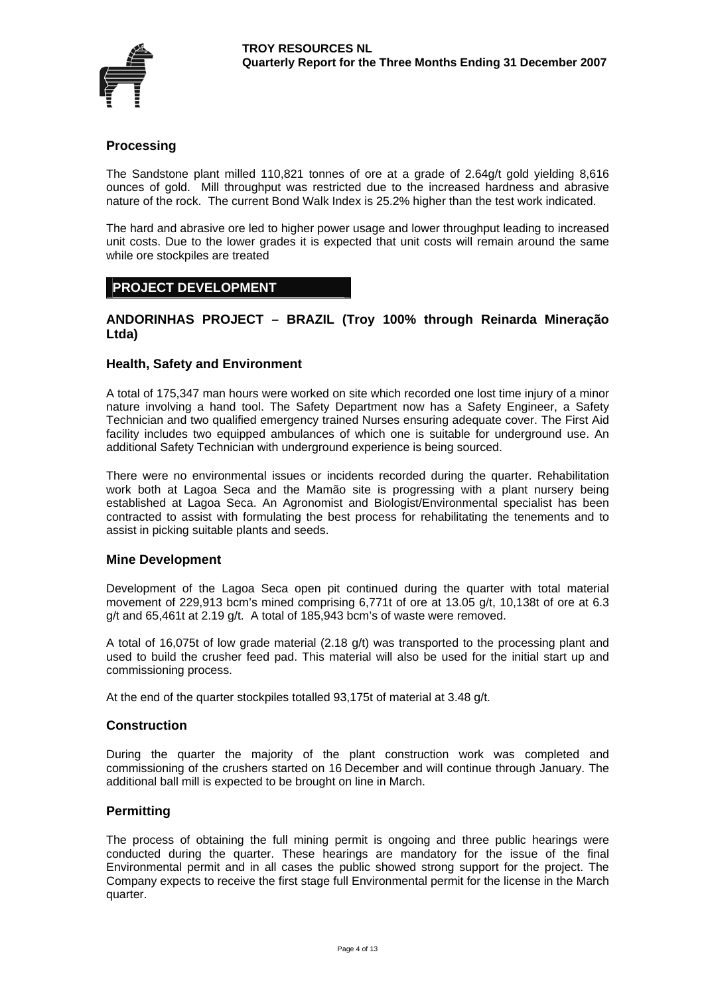

## **Processing**

The Sandstone plant milled 110,821 tonnes of ore at a grade of 2.64g/t gold yielding 8,616 ounces of gold. Mill throughput was restricted due to the increased hardness and abrasive nature of the rock. The current Bond Walk Index is 25.2% higher than the test work indicated.

The hard and abrasive ore led to higher power usage and lower throughput leading to increased unit costs. Due to the lower grades it is expected that unit costs will remain around the same while ore stockpiles are treated

#### **PROJECT DEVELOPMENT**

#### **ANDORINHAS PROJECT – BRAZIL (Troy 100% through Reinarda Mineração Ltda)**

#### **Health, Safety and Environment**

A total of 175,347 man hours were worked on site which recorded one lost time injury of a minor nature involving a hand tool. The Safety Department now has a Safety Engineer, a Safety Technician and two qualified emergency trained Nurses ensuring adequate cover. The First Aid facility includes two equipped ambulances of which one is suitable for underground use. An additional Safety Technician with underground experience is being sourced.

There were no environmental issues or incidents recorded during the quarter. Rehabilitation work both at Lagoa Seca and the Mamão site is progressing with a plant nursery being established at Lagoa Seca. An Agronomist and Biologist/Environmental specialist has been contracted to assist with formulating the best process for rehabilitating the tenements and to assist in picking suitable plants and seeds.

#### **Mine Development**

Development of the Lagoa Seca open pit continued during the quarter with total material movement of 229,913 bcm's mined comprising 6,771t of ore at 13.05 g/t, 10,138t of ore at 6.3 g/t and 65,461t at 2.19 g/t. A total of 185,943 bcm's of waste were removed.

A total of 16,075t of low grade material (2.18 g/t) was transported to the processing plant and used to build the crusher feed pad. This material will also be used for the initial start up and commissioning process.

At the end of the quarter stockpiles totalled 93,175t of material at 3.48 g/t.

#### **Construction**

During the quarter the majority of the plant construction work was completed and commissioning of the crushers started on 16 December and will continue through January. The additional ball mill is expected to be brought on line in March.

#### **Permitting**

The process of obtaining the full mining permit is ongoing and three public hearings were conducted during the quarter. These hearings are mandatory for the issue of the final Environmental permit and in all cases the public showed strong support for the project. The Company expects to receive the first stage full Environmental permit for the license in the March quarter.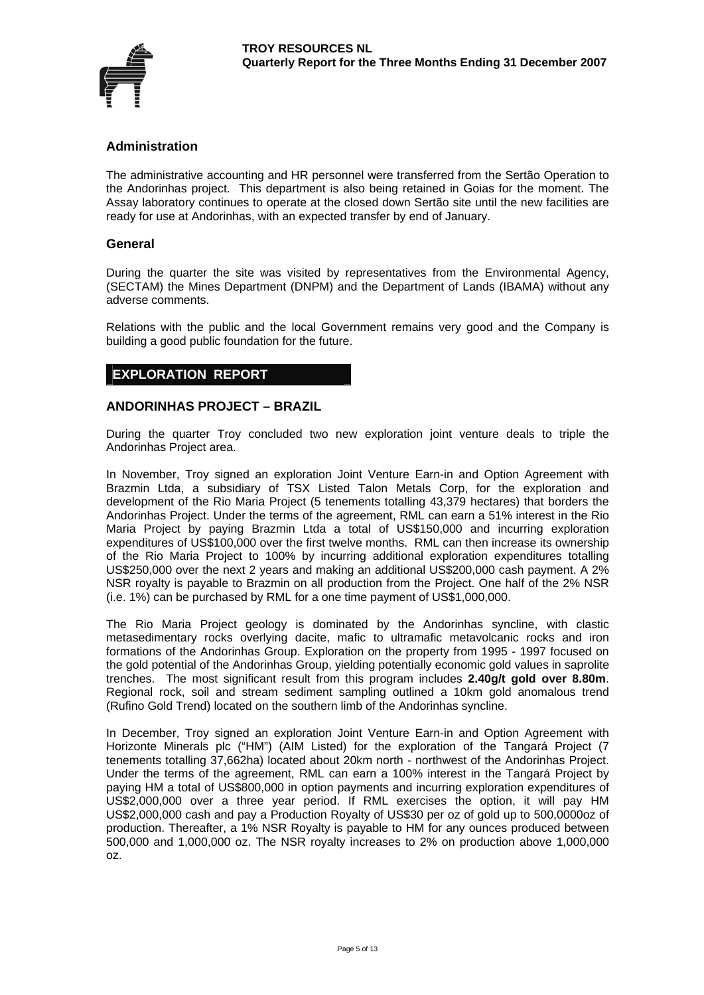

## **Administration**

The administrative accounting and HR personnel were transferred from the Sertão Operation to the Andorinhas project. This department is also being retained in Goias for the moment. The Assay laboratory continues to operate at the closed down Sertão site until the new facilities are ready for use at Andorinhas, with an expected transfer by end of January.

#### **General**

During the quarter the site was visited by representatives from the Environmental Agency, (SECTAM) the Mines Department (DNPM) and the Department of Lands (IBAMA) without any adverse comments.

Relations with the public and the local Government remains very good and the Company is building a good public foundation for the future.

## **EXPLORATION REPORT**

#### **ANDORINHAS PROJECT – BRAZIL**

During the quarter Troy concluded two new exploration joint venture deals to triple the Andorinhas Project area.

In November, Troy signed an exploration Joint Venture Earn-in and Option Agreement with Brazmin Ltda, a subsidiary of TSX Listed Talon Metals Corp, for the exploration and development of the Rio Maria Project (5 tenements totalling 43,379 hectares) that borders the Andorinhas Project. Under the terms of the agreement, RML can earn a 51% interest in the Rio Maria Project by paying Brazmin Ltda a total of US\$150,000 and incurring exploration expenditures of US\$100,000 over the first twelve months. RML can then increase its ownership of the Rio Maria Project to 100% by incurring additional exploration expenditures totalling US\$250,000 over the next 2 years and making an additional US\$200,000 cash payment. A 2% NSR royalty is payable to Brazmin on all production from the Project. One half of the 2% NSR (i.e. 1%) can be purchased by RML for a one time payment of US\$1,000,000.

The Rio Maria Project geology is dominated by the Andorinhas syncline, with clastic metasedimentary rocks overlying dacite, mafic to ultramafic metavolcanic rocks and iron formations of the Andorinhas Group. Exploration on the property from 1995 - 1997 focused on the gold potential of the Andorinhas Group, yielding potentially economic gold values in saprolite trenches. The most significant result from this program includes **2.40g/t gold over 8.80m**. Regional rock, soil and stream sediment sampling outlined a 10km gold anomalous trend (Rufino Gold Trend) located on the southern limb of the Andorinhas syncline.

In December, Troy signed an exploration Joint Venture Earn-in and Option Agreement with Horizonte Minerals plc ("HM") (AIM Listed) for the exploration of the Tangará Project (7 tenements totalling 37,662ha) located about 20km north - northwest of the Andorinhas Project. Under the terms of the agreement, RML can earn a 100% interest in the Tangará Project by paying HM a total of US\$800,000 in option payments and incurring exploration expenditures of US\$2,000,000 over a three year period. If RML exercises the option, it will pay HM US\$2,000,000 cash and pay a Production Royalty of US\$30 per oz of gold up to 500,0000oz of production. Thereafter, a 1% NSR Royalty is payable to HM for any ounces produced between 500,000 and 1,000,000 oz. The NSR royalty increases to 2% on production above 1,000,000 oz.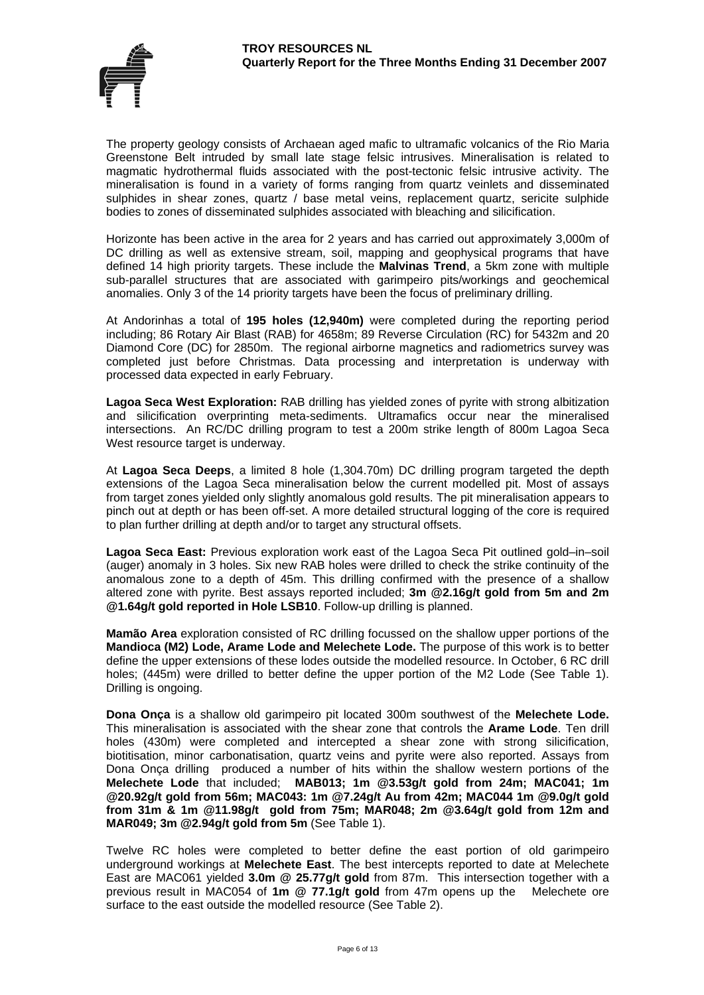

The property geology consists of Archaean aged mafic to ultramafic volcanics of the Rio Maria Greenstone Belt intruded by small late stage felsic intrusives. Mineralisation is related to magmatic hydrothermal fluids associated with the post-tectonic felsic intrusive activity. The mineralisation is found in a variety of forms ranging from quartz veinlets and disseminated sulphides in shear zones, quartz / base metal veins, replacement quartz, sericite sulphide bodies to zones of disseminated sulphides associated with bleaching and silicification.

Horizonte has been active in the area for 2 years and has carried out approximately 3,000m of DC drilling as well as extensive stream, soil, mapping and geophysical programs that have defined 14 high priority targets. These include the **Malvinas Trend**, a 5km zone with multiple sub-parallel structures that are associated with garimpeiro pits/workings and geochemical anomalies. Only 3 of the 14 priority targets have been the focus of preliminary drilling.

At Andorinhas a total of **195 holes (12,940m)** were completed during the reporting period including; 86 Rotary Air Blast (RAB) for 4658m; 89 Reverse Circulation (RC) for 5432m and 20 Diamond Core (DC) for 2850m. The regional airborne magnetics and radiometrics survey was completed just before Christmas. Data processing and interpretation is underway with processed data expected in early February.

**Lagoa Seca West Exploration:** RAB drilling has yielded zones of pyrite with strong albitization and silicification overprinting meta-sediments. Ultramafics occur near the mineralised intersections. An RC/DC drilling program to test a 200m strike length of 800m Lagoa Seca West resource target is underway.

At **Lagoa Seca Deeps**, a limited 8 hole (1,304.70m) DC drilling program targeted the depth extensions of the Lagoa Seca mineralisation below the current modelled pit. Most of assays from target zones yielded only slightly anomalous gold results. The pit mineralisation appears to pinch out at depth or has been off-set. A more detailed structural logging of the core is required to plan further drilling at depth and/or to target any structural offsets.

**Lagoa Seca East:** Previous exploration work east of the Lagoa Seca Pit outlined gold–in–soil (auger) anomaly in 3 holes. Six new RAB holes were drilled to check the strike continuity of the anomalous zone to a depth of 45m. This drilling confirmed with the presence of a shallow altered zone with pyrite. Best assays reported included; **3m @2.16g/t gold from 5m and 2m @1.64g/t gold reported in Hole LSB10**. Follow-up drilling is planned.

**Mamão Area** exploration consisted of RC drilling focussed on the shallow upper portions of the **Mandioca (M2) Lode, Arame Lode and Melechete Lode.** The purpose of this work is to better define the upper extensions of these lodes outside the modelled resource. In October, 6 RC drill holes; (445m) were drilled to better define the upper portion of the M2 Lode (See Table 1). Drilling is ongoing.

**Dona Onça** is a shallow old garimpeiro pit located 300m southwest of the **Melechete Lode.** This mineralisation is associated with the shear zone that controls the **Arame Lode**. Ten drill holes (430m) were completed and intercepted a shear zone with strong silicification, biotitisation, minor carbonatisation, quartz veins and pyrite were also reported. Assays from Dona Onça drilling produced a number of hits within the shallow western portions of the **Melechete Lode** that included; **MAB013; 1m @3.53g/t gold from 24m; MAC041; 1m @20.92g/t gold from 56m; MAC043: 1m @7.24g/t Au from 42m; MAC044 1m @9.0g/t gold from 31m & 1m @11.98g/t gold from 75m; MAR048; 2m @3.64g/t gold from 12m and MAR049; 3m @2.94g/t gold from 5m** (See Table 1).

Twelve RC holes were completed to better define the east portion of old garimpeiro underground workings at **Melechete East**. The best intercepts reported to date at Melechete East are MAC061 yielded **3.0m @ 25.77g/t gold** from 87m. This intersection together with a previous result in MAC054 of **1m @ 77.1g/t gold** from 47m opens up the Melechete ore surface to the east outside the modelled resource (See Table 2).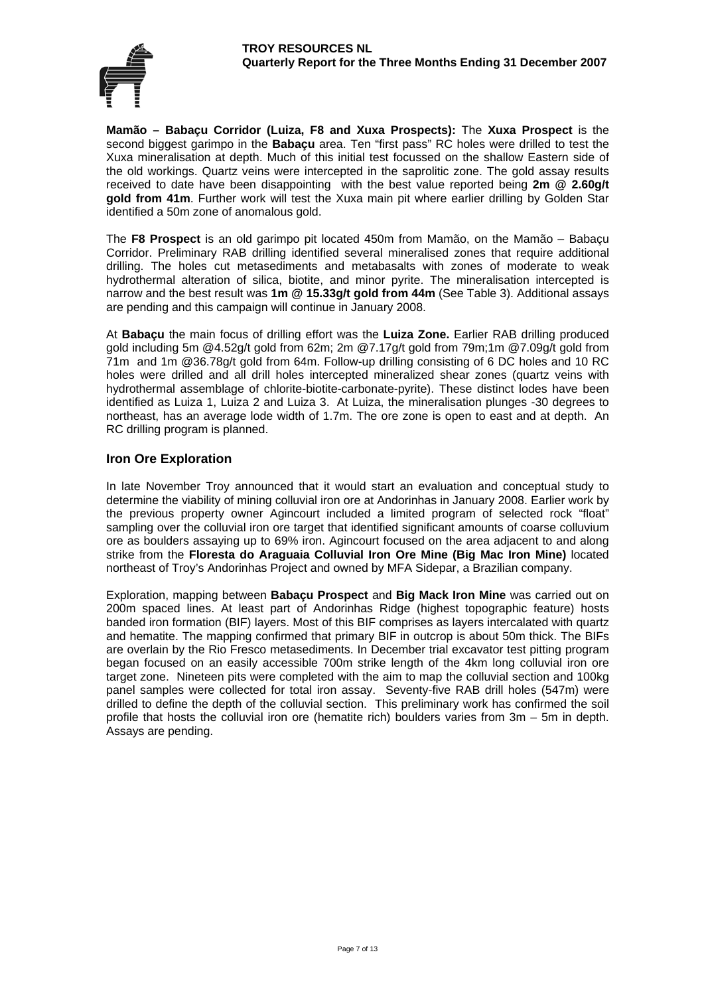

**Mamão – Babaçu Corridor (Luiza, F8 and Xuxa Prospects):** The **Xuxa Prospect** is the second biggest garimpo in the **Babaçu** area. Ten "first pass" RC holes were drilled to test the Xuxa mineralisation at depth. Much of this initial test focussed on the shallow Eastern side of the old workings. Quartz veins were intercepted in the saprolitic zone. The gold assay results received to date have been disappointing with the best value reported being **2m @ 2.60g/t gold from 41m**. Further work will test the Xuxa main pit where earlier drilling by Golden Star identified a 50m zone of anomalous gold.

The **F8 Prospect** is an old garimpo pit located 450m from Mamão, on the Mamão – Babaçu Corridor. Preliminary RAB drilling identified several mineralised zones that require additional drilling. The holes cut metasediments and metabasalts with zones of moderate to weak hydrothermal alteration of silica, biotite, and minor pyrite. The mineralisation intercepted is narrow and the best result was **1m @ 15.33g/t gold from 44m** (See Table 3). Additional assays are pending and this campaign will continue in January 2008.

At **Babaçu** the main focus of drilling effort was the **Luiza Zone.** Earlier RAB drilling produced gold including [5m @4.52g](mailto:5m%20@4.52)/t gold from 62m; 2m @7.17g/t gold from 79m;1m @7.09g/t gold from 71m and 1m @36.78g/t gold from 64m. Follow-up drilling consisting of 6 DC holes and 10 RC holes were drilled and all drill holes intercepted mineralized shear zones (quartz veins with hydrothermal assemblage of chlorite-biotite-carbonate-pyrite). These distinct lodes have been identified as Luiza 1, Luiza 2 and Luiza 3. At Luiza, the mineralisation plunges -30 degrees to northeast, has an average lode width of 1.7m. The ore zone is open to east and at depth. An RC drilling program is planned.

#### **Iron Ore Exploration**

In late November Troy announced that it would start an evaluation and conceptual study to determine the viability of mining colluvial iron ore at Andorinhas in January 2008. Earlier work by the previous property owner Agincourt included a limited program of selected rock "float" sampling over the colluvial iron ore target that identified significant amounts of coarse colluvium ore as boulders assaying up to 69% iron. Agincourt focused on the area adjacent to and along strike from the **Floresta do Araguaia Colluvial Iron Ore Mine (Big Mac Iron Mine)** located northeast of Troy's Andorinhas Project and owned by MFA Sidepar, a Brazilian company.

Exploration, mapping between **Babaçu Prospect** and **Big Mack Iron Mine** was carried out on 200m spaced lines. At least part of Andorinhas Ridge (highest topographic feature) hosts banded iron formation (BIF) layers. Most of this BIF comprises as layers intercalated with quartz and hematite. The mapping confirmed that primary BIF in outcrop is about 50m thick. The BIFs are overlain by the Rio Fresco metasediments. In December trial excavator test pitting program began focused on an easily accessible 700m strike length of the 4km long colluvial iron ore target zone. Nineteen pits were completed with the aim to map the colluvial section and 100kg panel samples were collected for total iron assay. Seventy-five RAB drill holes (547m) were drilled to define the depth of the colluvial section. This preliminary work has confirmed the soil profile that hosts the colluvial iron ore (hematite rich) boulders varies from 3m – 5m in depth. Assays are pending.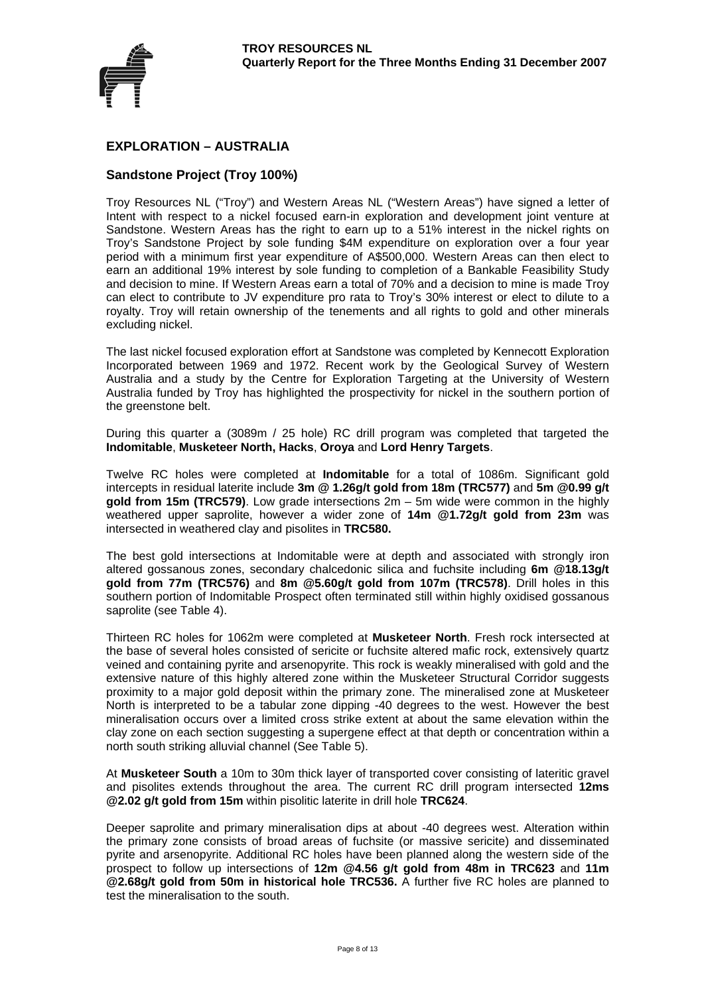

## **EXPLORATION – AUSTRALIA**

#### **Sandstone Project (Troy 100%)**

Troy Resources NL ("Troy") and Western Areas NL ("Western Areas") have signed a letter of Intent with respect to a nickel focused earn-in exploration and development joint venture at Sandstone. Western Areas has the right to earn up to a 51% interest in the nickel rights on Troy's Sandstone Project by sole funding \$4M expenditure on exploration over a four year period with a minimum first year expenditure of A\$500,000. Western Areas can then elect to earn an additional 19% interest by sole funding to completion of a Bankable Feasibility Study and decision to mine. If Western Areas earn a total of 70% and a decision to mine is made Troy can elect to contribute to JV expenditure pro rata to Troy's 30% interest or elect to dilute to a royalty. Troy will retain ownership of the tenements and all rights to gold and other minerals excluding nickel.

The last nickel focused exploration effort at Sandstone was completed by Kennecott Exploration Incorporated between 1969 and 1972. Recent work by the Geological Survey of Western Australia and a study by the Centre for Exploration Targeting at the University of Western Australia funded by Troy has highlighted the prospectivity for nickel in the southern portion of the greenstone belt.

During this quarter a (3089m / 25 hole) RC drill program was completed that targeted the **Indomitable**, **Musketeer North, Hacks**, **Oroya** and **Lord Henry Targets**.

Twelve RC holes were completed at **Indomitable** for a total of 1086m. Significant gold intercepts in residual laterite include **3m @ 1.26g/t gold from 18m (TRC577)** and **5m @0.99 g/t gold from 15m (TRC579)**. Low grade intersections 2m – 5m wide were common in the highly weathered upper saprolite, however a wider zone of **14m @1.72g/t gold from 23m** was intersected in weathered clay and pisolites in **TRC580.**

The best gold intersections at Indomitable were at depth and associated with strongly iron altered gossanous zones, secondary chalcedonic silica and fuchsite including **6m @18.13g/t gold from 77m (TRC576)** and **8m @5.60g/t gold from 107m (TRC578)**. Drill holes in this southern portion of Indomitable Prospect often terminated still within highly oxidised gossanous saprolite (see Table 4).

Thirteen RC holes for 1062m were completed at **Musketeer North**. Fresh rock intersected at the base of several holes consisted of sericite or fuchsite altered mafic rock, extensively quartz veined and containing pyrite and arsenopyrite. This rock is weakly mineralised with gold and the extensive nature of this highly altered zone within the Musketeer Structural Corridor suggests proximity to a major gold deposit within the primary zone. The mineralised zone at Musketeer North is interpreted to be a tabular zone dipping -40 degrees to the west. However the best mineralisation occurs over a limited cross strike extent at about the same elevation within the clay zone on each section suggesting a supergene effect at that depth or concentration within a north south striking alluvial channel (See Table 5).

At **Musketeer South** a 10m to 30m thick layer of transported cover consisting of lateritic gravel and pisolites extends throughout the area. The current RC drill program intersected **12ms @2.02 g/t gold from 15m** within pisolitic laterite in drill hole **TRC624**.

Deeper saprolite and primary mineralisation dips at about -40 degrees west. Alteration within the primary zone consists of broad areas of fuchsite (or massive sericite) and disseminated pyrite and arsenopyrite. Additional RC holes have been planned along the western side of the prospect to follow up intersections of **12m @4.56 g/t gold from 48m in TRC623** and **11m @2.68g/t gold from 50m in historical hole TRC536.** A further five RC holes are planned to test the mineralisation to the south.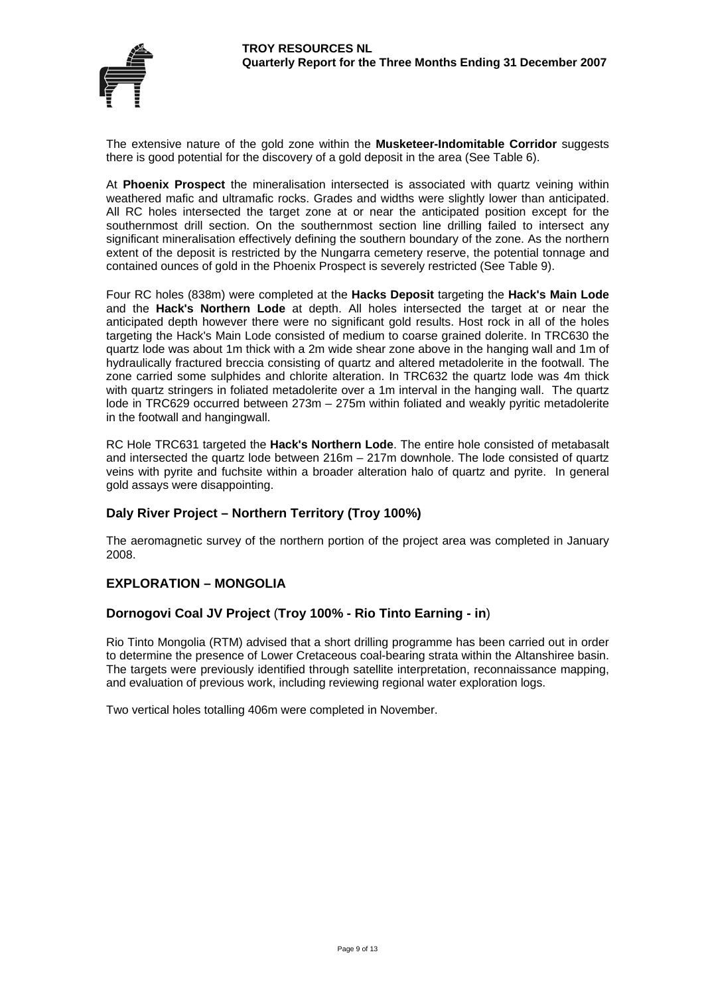

The extensive nature of the gold zone within the **Musketeer-Indomitable Corridor** suggests there is good potential for the discovery of a gold deposit in the area (See Table 6).

At **Phoenix Prospect** the mineralisation intersected is associated with quartz veining within weathered mafic and ultramafic rocks. Grades and widths were slightly lower than anticipated. All RC holes intersected the target zone at or near the anticipated position except for the southernmost drill section. On the southernmost section line drilling failed to intersect any significant mineralisation effectively defining the southern boundary of the zone. As the northern extent of the deposit is restricted by the Nungarra cemetery reserve, the potential tonnage and contained ounces of gold in the Phoenix Prospect is severely restricted (See Table 9).

Four RC holes (838m) were completed at the **Hacks Deposit** targeting the **Hack's Main Lode** and the **Hack's Northern Lode** at depth. All holes intersected the target at or near the anticipated depth however there were no significant gold results. Host rock in all of the holes targeting the Hack's Main Lode consisted of medium to coarse grained dolerite. In TRC630 the quartz lode was about 1m thick with a 2m wide shear zone above in the hanging wall and 1m of hydraulically fractured breccia consisting of quartz and altered metadolerite in the footwall. The zone carried some sulphides and chlorite alteration. In TRC632 the quartz lode was 4m thick with quartz stringers in foliated metadolerite over a 1m interval in the hanging wall. The quartz lode in TRC629 occurred between 273m – 275m within foliated and weakly pyritic metadolerite in the footwall and hangingwall.

RC Hole TRC631 targeted the **Hack's Northern Lode**. The entire hole consisted of metabasalt and intersected the quartz lode between 216m – 217m downhole. The lode consisted of quartz veins with pyrite and fuchsite within a broader alteration halo of quartz and pyrite. In general gold assays were disappointing.

## **Daly River Project – Northern Territory (Troy 100%)**

The aeromagnetic survey of the northern portion of the project area was completed in January 2008.

#### **EXPLORATION – MONGOLIA**

#### **Dornogovi Coal JV Project** (**Troy 100% - Rio Tinto Earning - in**)

Rio Tinto Mongolia (RTM) advised that a short drilling programme has been carried out in order to determine the presence of Lower Cretaceous coal-bearing strata within the Altanshiree basin. The targets were previously identified through satellite interpretation, reconnaissance mapping, and evaluation of previous work, including reviewing regional water exploration logs.

Two vertical holes totalling 406m were completed in November.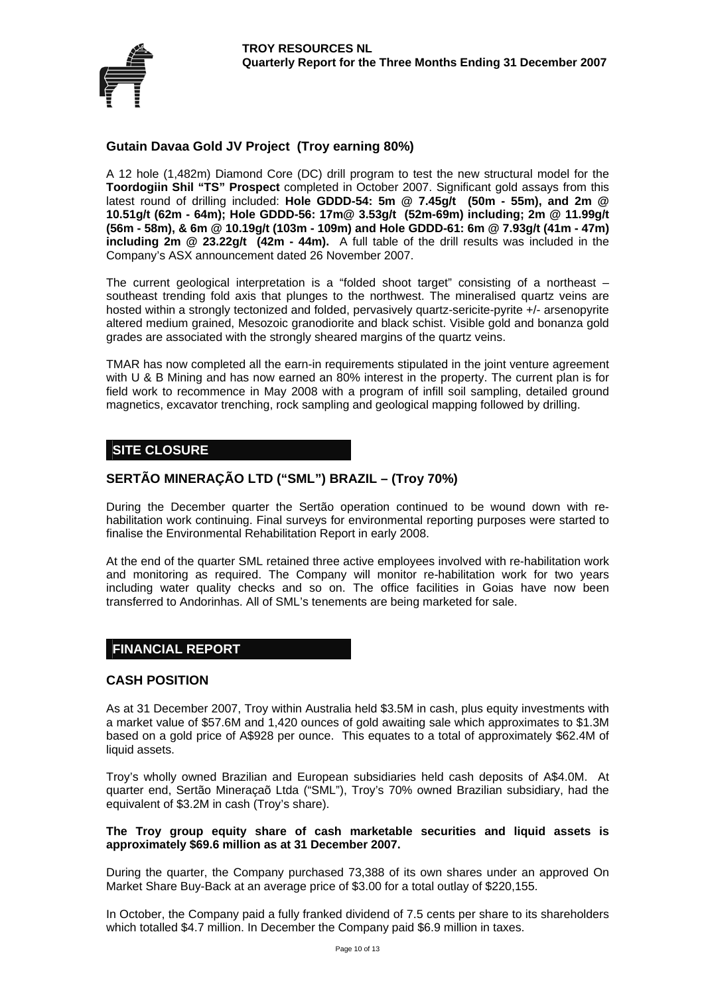

## **Gutain Davaa Gold JV Project (Troy earning 80%)**

A 12 hole (1,482m) Diamond Core (DC) drill program to test the new structural model for the **Toordogiin Shil "TS" Prospect** completed in October 2007. Significant gold assays from this latest round of drilling included: **Hole GDDD-54: 5m @ 7.45g/t (50m - 55m), and 2m @ 10.51g/t (62m - 64m); Hole GDDD-56: 17m@ 3.53g/t (52m-69m) including; 2m @ 11.99g/t (56m - 58m), & 6m @ 10.19g/t (103m - 109m) and Hole GDDD-61: 6m @ 7.93g/t (41m - 47m) including 2m @ 23.22g/t (42m - 44m).** A full table of the drill results was included in the Company's ASX announcement dated 26 November 2007.

The current geological interpretation is a "folded shoot target" consisting of a northeast – southeast trending fold axis that plunges to the northwest. The mineralised quartz veins are hosted within a strongly tectonized and folded, pervasively quartz-sericite-pyrite +/- arsenopyrite altered medium grained, Mesozoic granodiorite and black schist. Visible gold and bonanza gold grades are associated with the strongly sheared margins of the quartz veins.

TMAR has now completed all the earn-in requirements stipulated in the joint venture agreement with U & B Mining and has now earned an 80% interest in the property. The current plan is for field work to recommence in May 2008 with a program of infill soil sampling, detailed ground magnetics, excavator trenching, rock sampling and geological mapping followed by drilling.

## **SITE CLOSURE**

## **SERTÃO MINERAÇÃO LTD ("SML") BRAZIL – (Troy 70%)**

During the December quarter the Sertão operation continued to be wound down with rehabilitation work continuing. Final surveys for environmental reporting purposes were started to finalise the Environmental Rehabilitation Report in early 2008.

At the end of the quarter SML retained three active employees involved with re-habilitation work and monitoring as required. The Company will monitor re-habilitation work for two years including water quality checks and so on. The office facilities in Goias have now been transferred to Andorinhas. All of SML's tenements are being marketed for sale.

## **FINANCIAL REPORT**

#### **CASH POSITION**

As at 31 December 2007, Troy within Australia held \$3.5M in cash, plus equity investments with a market value of \$57.6M and 1,420 ounces of gold awaiting sale which approximates to \$1.3M based on a gold price of A\$928 per ounce. This equates to a total of approximately \$62.4M of liquid assets.

Troy's wholly owned Brazilian and European subsidiaries held cash deposits of A\$4.0M. At quarter end, Sertão Mineraçaõ Ltda ("SML"), Troy's 70% owned Brazilian subsidiary, had the equivalent of \$3.2M in cash (Troy's share).

#### **The Troy group equity share of cash marketable securities and liquid assets is approximately \$69.6 million as at 31 December 2007.**

During the quarter, the Company purchased 73,388 of its own shares under an approved On Market Share Buy-Back at an average price of \$3.00 for a total outlay of \$220,155.

In October, the Company paid a fully franked dividend of 7.5 cents per share to its shareholders which totalled \$4.7 million. In December the Company paid \$6.9 million in taxes.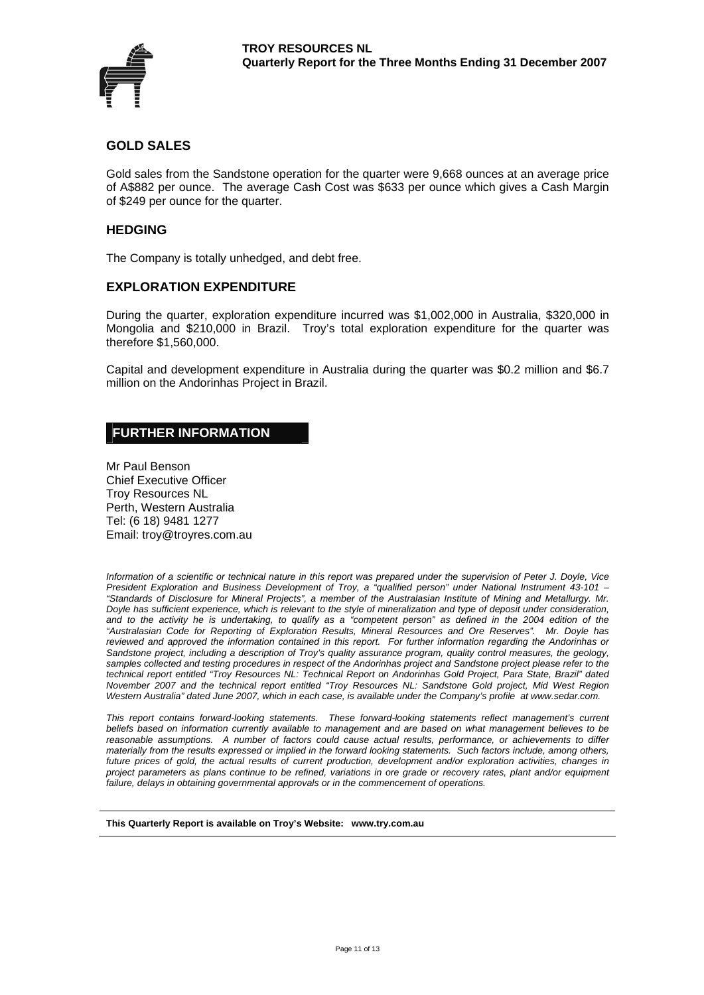

#### **GOLD SALES**

Gold sales from the Sandstone operation for the quarter were 9,668 ounces at an average price of A\$882 per ounce. The average Cash Cost was \$633 per ounce which gives a Cash Margin of \$249 per ounce for the quarter.

#### **HEDGING**

The Company is totally unhedged, and debt free.

#### **EXPLORATION EXPENDITURE**

During the quarter, exploration expenditure incurred was \$1,002,000 in Australia, \$320,000 in Mongolia and \$210,000 in Brazil. Troy's total exploration expenditure for the quarter was therefore \$1,560,000.

Capital and development expenditure in Australia during the quarter was \$0.2 million and \$6.7 million on the Andorinhas Project in Brazil.

## **FURTHER INFORMATION**

Mr Paul Benson Chief Executive Officer Troy Resources NL Perth, Western Australia Tel: (6 18) 9481 1277 Email: troy@troyres.com.au

*Information of a scientific or technical nature in this report was prepared under the supervision of Peter J. Doyle, Vice President Exploration and Business Development of Troy, a "qualified person" under National Instrument 43-101 – "Standards of Disclosure for Mineral Projects", a member of the Australasian Institute of Mining and Metallurgy. Mr. Doyle has sufficient experience, which is relevant to the style of mineralization and type of deposit under consideration,*  and to the activity he is undertaking, to qualify as a "competent person" as defined in the 2004 edition of the *"Australasian Code for Reporting of Exploration Results, Mineral Resources and Ore Reserves". Mr. Doyle has reviewed and approved the information contained in this report. For further information regarding the Andorinhas or Sandstone project, including a description of Troy's quality assurance program, quality control measures, the geology, samples collected and testing procedures in respect of the Andorinhas project and Sandstone project please refer to the technical report entitled "Troy Resources NL: Technical Report on Andorinhas Gold Project, Para State, Brazil" dated November 2007 and the technical report entitled "Troy Resources NL: Sandstone Gold project, Mid West Region Western Australia" dated June 2007, which in each case, is available under the Company's profile at www.sedar.com.* 

*This report contains forward-looking statements. These forward-looking statements reflect management's current beliefs based on information currently available to management and are based on what management believes to be reasonable assumptions. A number of factors could cause actual results, performance, or achievements to differ materially from the results expressed or implied in the forward looking statements. Such factors include, among others, future prices of gold, the actual results of current production, development and/or exploration activities, changes in project parameters as plans continue to be refined, variations in ore grade or recovery rates, plant and/or equipment failure, delays in obtaining governmental approvals or in the commencement of operations.* 

#### **This Quarterly Report is available on Troy's Website: www.try.com.au**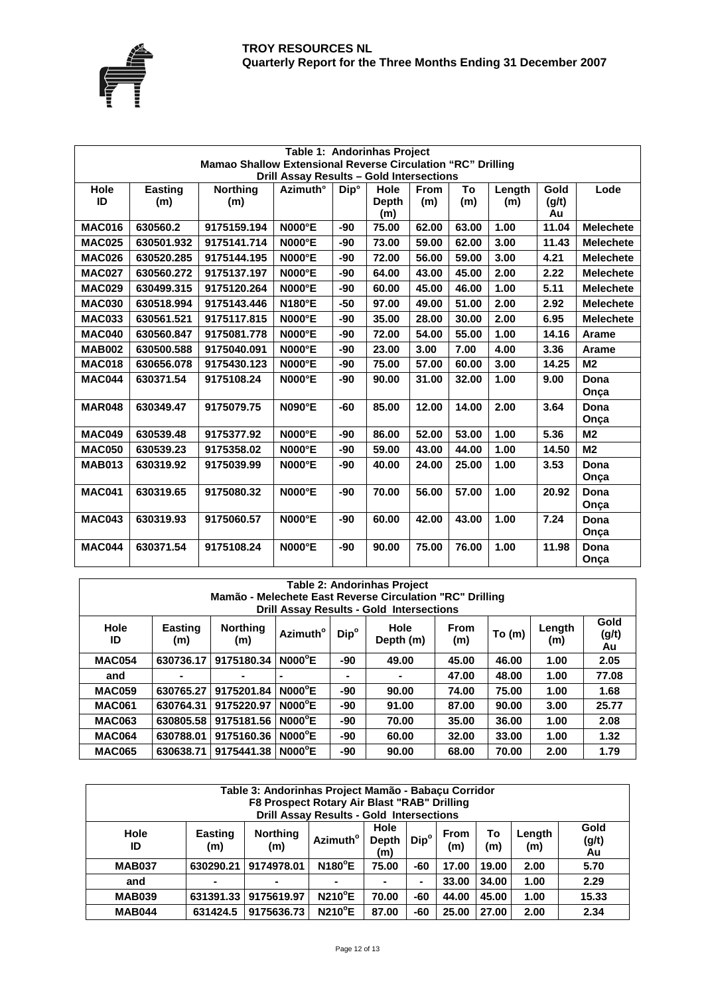

| Table 1: Andorinhas Project                                                                             |                       |                        |                 |                  |                             |                    |           |               |                     |                  |  |
|---------------------------------------------------------------------------------------------------------|-----------------------|------------------------|-----------------|------------------|-----------------------------|--------------------|-----------|---------------|---------------------|------------------|--|
| Mamao Shallow Extensional Reverse Circulation "RC" Drilling<br>Drill Assay Results - Gold Intersections |                       |                        |                 |                  |                             |                    |           |               |                     |                  |  |
| Hole<br>ID                                                                                              | <b>Easting</b><br>(m) | <b>Northing</b><br>(m) | Azimuth°        | Dip <sup>o</sup> | Hole<br><b>Depth</b><br>(m) | <b>From</b><br>(m) | To<br>(m) | Length<br>(m) | Gold<br>(g/t)<br>Au | Lode             |  |
| <b>MAC016</b>                                                                                           | 630560.2              | 9175159.194            | <b>N000°E</b>   | -90              | 75.00                       | 62.00              | 63.00     | 1.00          | 11.04               | <b>Melechete</b> |  |
| <b>MAC025</b>                                                                                           | 630501.932            | 9175141.714            | <b>N000°E</b>   | -90              | 73.00                       | 59.00              | 62.00     | 3.00          | 11.43               | <b>Melechete</b> |  |
| <b>MAC026</b>                                                                                           | 630520.285            | 9175144.195            | <b>N000°E</b>   | -90              | 72.00                       | 56.00              | 59.00     | 3.00          | 4.21                | <b>Melechete</b> |  |
| <b>MAC027</b>                                                                                           | 630560.272            | 9175137.197            | <b>N000°E</b>   | -90              | 64.00                       | 43.00              | 45.00     | 2.00          | 2.22                | <b>Melechete</b> |  |
| <b>MAC029</b>                                                                                           | 630499.315            | 9175120.264            | <b>N000°E</b>   | -90              | 60.00                       | 45.00              | 46.00     | 1.00          | 5.11                | <b>Melechete</b> |  |
| <b>MAC030</b>                                                                                           | 630518.994            | 9175143.446            | <b>N180°E</b>   | -50              | 97.00                       | 49.00              | 51.00     | 2.00          | 2.92                | <b>Melechete</b> |  |
| <b>MAC033</b>                                                                                           | 630561.521            | 9175117.815            | <b>N000°E</b>   | -90              | 35.00                       | 28.00              | 30.00     | 2.00          | 6.95                | <b>Melechete</b> |  |
| <b>MAC040</b>                                                                                           | 630560.847            | 9175081.778            | <b>N000°E</b>   | -90              | 72.00                       | 54.00              | 55.00     | 1.00          | 14.16               | <b>Arame</b>     |  |
| <b>MAB002</b>                                                                                           | 630500.588            | 9175040.091            | <b>N000°E</b>   | -90              | 23.00                       | 3.00               | 7.00      | 4.00          | 3.36                | Arame            |  |
| <b>MAC018</b>                                                                                           | 630656.078            | 9175430.123            | $NOOO^{\circ}E$ | -90              | 75.00                       | 57.00              | 60.00     | 3.00          | 14.25               | M <sub>2</sub>   |  |
| <b>MAC044</b>                                                                                           | 630371.54             | 9175108.24             | $NOOO^{\circ}E$ | -90              | 90.00                       | 31.00              | 32.00     | 1.00          | 9.00                | Dona<br>Onça     |  |
| <b>MAR048</b>                                                                                           | 630349.47             | 9175079.75             | <b>N090°E</b>   | -60              | 85.00                       | 12.00              | 14.00     | 2.00          | 3.64                | Dona<br>Onça     |  |
| <b>MAC049</b>                                                                                           | 630539.48             | 9175377.92             | <b>N000°E</b>   | -90              | 86.00                       | 52.00              | 53.00     | 1.00          | 5.36                | M <sub>2</sub>   |  |
| <b>MAC050</b>                                                                                           | 630539.23             | 9175358.02             | <b>N000°E</b>   | -90              | 59.00                       | 43.00              | 44.00     | 1.00          | 14.50               | M <sub>2</sub>   |  |
| <b>MAB013</b>                                                                                           | 630319.92             | 9175039.99             | <b>N000°E</b>   | -90              | 40.00                       | 24.00              | 25.00     | 1.00          | 3.53                | Dona<br>Onça     |  |
| <b>MAC041</b>                                                                                           | 630319.65             | 9175080.32             | <b>N000°E</b>   | -90              | 70.00                       | 56.00              | 57.00     | 1.00          | 20.92               | Dona<br>Onça     |  |
| <b>MAC043</b>                                                                                           | 630319.93             | 9175060.57             | <b>N000°E</b>   | -90              | 60.00                       | 42.00              | 43.00     | 1.00          | 7.24                | Dona<br>Onça     |  |
| <b>MAC044</b>                                                                                           | 630371.54             | 9175108.24             | $NOOO^{\circ}E$ | -90              | 90.00                       | 75.00              | 76.00     | 1.00          | 11.98               | Dona<br>Onça     |  |

| <b>Table 2: Andorinhas Project</b>                       |                                                 |                        |                      |                  |                   |                    |        |               |                     |  |  |
|----------------------------------------------------------|-------------------------------------------------|------------------------|----------------------|------------------|-------------------|--------------------|--------|---------------|---------------------|--|--|
| Mamão - Melechete East Reverse Circulation "RC" Drilling |                                                 |                        |                      |                  |                   |                    |        |               |                     |  |  |
|                                                          | <b>Drill Assay Results - Gold Intersections</b> |                        |                      |                  |                   |                    |        |               |                     |  |  |
| Hole<br>ID                                               | <b>Easting</b><br>(m)                           | <b>Northing</b><br>(m) | Azimuth <sup>o</sup> | Dip <sup>o</sup> | Hole<br>Depth (m) | <b>From</b><br>(m) | To (m) | Length<br>(m) | Gold<br>(g/t)<br>Au |  |  |
| <b>MAC054</b>                                            | 630736.17                                       | 9175180.34             | $NOOO^{\circ}E$      | -90              | 49.00             | 45.00              | 46.00  | 1.00          | 2.05                |  |  |
| and                                                      |                                                 |                        | ۰                    | -                |                   | 47.00              | 48.00  | 1.00          | 77.08               |  |  |
| <b>MAC059</b>                                            | 630765.27                                       | 9175201.84             | $NOOO^{\circ}E$      | -90              | 90.00             | 74.00              | 75.00  | 1.00          | 1.68                |  |  |
| <b>MAC061</b>                                            | 630764.31                                       | 9175220.97             | $NOOO^{\circ}E$      | -90              | 91.00             | 87.00              | 90.00  | 3.00          | 25.77               |  |  |
| <b>MAC063</b>                                            | 630805.58                                       | 9175181.56             | $NOOO^{\circ}E$      | -90              | 70.00             | 35.00              | 36.00  | 1.00          | 2.08                |  |  |
| <b>MAC064</b>                                            | 630788.01                                       | 9175160.36             | $NOOO^{\circ}E$      | -90              | 60.00             | 32.00              | 33.00  | 1.00          | 1.32                |  |  |
| <b>MAC065</b>                                            | 630638.71                                       | 9175441.38             | $NOOO^{\circ}E$      | -90              | 90.00             | 68.00              | 70.00  | 2.00          | 1.79                |  |  |

| Table 3: Andorinhas Project Mamão - Babacu Corridor<br>F8 Prospect Rotary Air Blast "RAB" Drilling<br><b>Drill Assay Results - Gold Intersections</b>                                                                     |           |                      |                |       |     |       |       |      |       |
|---------------------------------------------------------------------------------------------------------------------------------------------------------------------------------------------------------------------------|-----------|----------------------|----------------|-------|-----|-------|-------|------|-------|
| Gold<br>Hole<br><b>Hole</b><br><b>Northing</b><br>To<br><b>Easting</b><br><b>From</b><br>Length<br>$\mathsf{Dip}^{\circ}$<br>Azimuth <sup>o</sup><br>(g/t)<br>Depth<br>(m)<br>(m)<br>ID<br>(m)<br>(m)<br>(m)<br>Au<br>(m) |           |                      |                |       |     |       |       |      |       |
| <b>MAB037</b>                                                                                                                                                                                                             | 630290.21 | 9174978.01           | <b>N180°E</b>  | 75.00 | -60 | 17.00 | 19.00 | 2.00 | 5.70  |
| and                                                                                                                                                                                                                       |           | ۰                    | $\blacksquare$ |       |     | 33.00 | 34.00 | 1.00 | 2.29  |
| <b>MAB039</b>                                                                                                                                                                                                             |           | 631391.33 9175619.97 | <b>N210°E</b>  | 70.00 | -60 | 44.00 | 45.00 | 1.00 | 15.33 |
| <b>MAB044</b>                                                                                                                                                                                                             | 631424.5  | 9175636.73           | <b>N210°E</b>  | 87.00 | -60 | 25.00 | 27.00 | 2.00 | 2.34  |